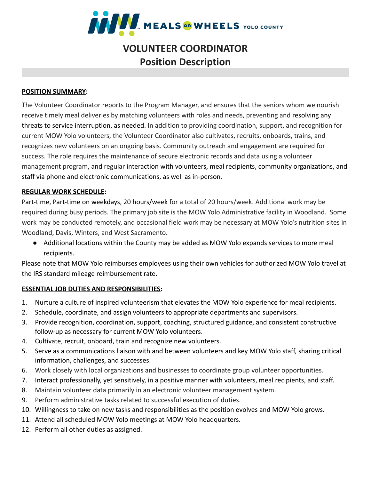

# **VOLUNTEER COORDINATOR Position Description**

## **POSITION SUMMARY:**

The Volunteer Coordinator reports to the Program Manager, and ensures that the seniors whom we nourish receive timely meal deliveries by matching volunteers with roles and needs, preventing and resolving any threats to service interruption, as needed. In addition to providing coordination, support, and recognition for current MOW Yolo volunteers, the Volunteer Coordinator also cultivates, recruits, onboards, trains, and recognizes new volunteers on an ongoing basis. Community outreach and engagement are required for success. The role requires the maintenance of secure electronic records and data using a volunteer management program, and regular interaction with volunteers, meal recipients, community organizations, and staff via phone and electronic communications, as well as in-person.

## **REGULAR WORK SCHEDULE:**

Part-time, Part-time on weekdays, 20 hours/week for a total of 20 hours/week. Additional work may be required during busy periods. The primary job site is the MOW Yolo Administrative facility in Woodland. Some work may be conducted remotely, and occasional field work may be necessary at MOW Yolo's nutrition sites in Woodland, Davis, Winters, and West Sacramento.

● Additional locations within the County may be added as MOW Yolo expands services to more meal recipients.

Please note that MOW Yolo reimburses employees using their own vehicles for authorized MOW Yolo travel at the IRS standard mileage reimbursement rate.

# **ESSENTIAL JOB DUTIES AND RESPONSIBILITIES:**

- 1. Nurture a culture of inspired volunteerism that elevates the MOW Yolo experience for meal recipients.
- 2. Schedule, coordinate, and assign volunteers to appropriate departments and supervisors.
- 3. Provide recognition, coordination, support, coaching, structured guidance, and consistent constructive follow-up as necessary for current MOW Yolo volunteers.
- 4. Cultivate, recruit, onboard, train and recognize new volunteers.
- 5. Serve as a communications liaison with and between volunteers and key MOW Yolo staff, sharing critical information, challenges, and successes.
- 6. Work closely with local organizations and businesses to coordinate group volunteer opportunities.
- 7. Interact professionally, yet sensitively, in a positive manner with volunteers, meal recipients, and staff.
- 8. Maintain volunteer data primarily in an electronic volunteer management system.
- 9. Perform administrative tasks related to successful execution of duties.
- 10. Willingness to take on new tasks and responsibilities as the position evolves and MOW Yolo grows.
- 11. Attend all scheduled MOW Yolo meetings at MOW Yolo headquarters.
- 12. Perform all other duties as assigned.